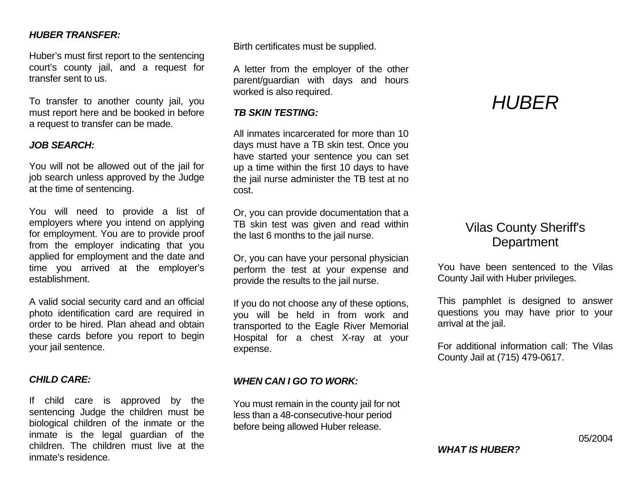# *HUBER TRANSFER:*

Huber's must first report to the sentencing court's county jail, and a request for transfer sent to us.

To transfer to another county jail, you must report here and be booked in before a request to transfer can be made.

#### *JOB SEARCH:*

You will not be allowed out of the jail for job search unless approved by the Judge at the time of sentencing.

You will need to provide a list of employers where you intend on applying for employment. You are to provide proof from the employer indicating that you applied for employment and the date and time you arrived at the employer's establishment.

A valid social security card and an official photo identification card are required in order to be hired. Plan ahead and obtain these cards before you report to begin your jail sentence.

# *CHILD CARE:*

If child care is approved by the sentencing Judge the children must be biological children of the inmate or the inmate is the legal guardian of the children. The children must live at the inmate's residence.

Birth certificates must be supplied.

A letter from the employer of the other parent/guardian with days and hours worked is also required.

#### *TB SKIN TESTING:*

All inmates incarcerated for more than 10 days must have a TB skin test. Once you have started your sentence you can set up a time within the first 10 days to have the jail nurse administer the TB test at no cost.

Or, you can provide documentation that a TB skin test was given and read within the last 6 months to the jail nurse.

Or, you can have your personal physician perform the test at your expense and provide the results to the jail nurse.

If you do not choose any of these options, you will be held in from work and transported to the Eagle River Memorial Hospital for a chest X-ray at your expense.

# *WHEN CAN I GO TO WORK:*

You must remain in the county jail for not less than a 48-consecutive-hour period before being allowed Huber release.

# *HUBER*

# Vilas County Sheriff's **Department**

You have been sentenced to the Vilas County Jail with Huber privileges.

This pamphlet is designed to answer questions you may have prior to your arrival at the jail.

For additional information call: The Vilas County Jail at (715) 479-0617.